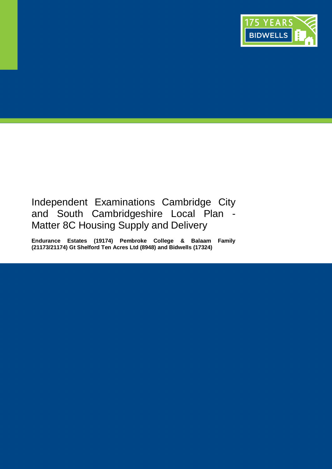

# Independent Examinations Cambridge City and South Cambridgeshire Local Plan -Matter 8C Housing Supply and Delivery

**Endurance Estates (19174) Pembroke College & Balaam Family (21173/21174) Gt Shelford Ten Acres Ltd (8948) and Bidwells (17324)**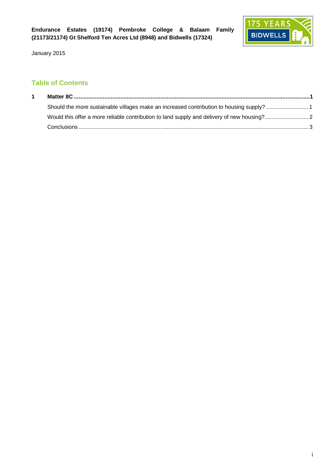

# **Table of Contents**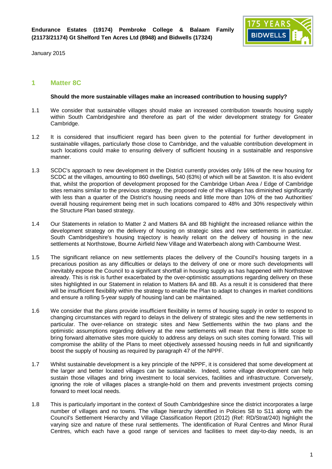

## **1 Matter 8C**

#### **Should the more sustainable villages make an increased contribution to housing supply?**

- 1.1 We consider that sustainable villages should make an increased contribution towards housing supply within South Cambridgeshire and therefore as part of the wider development strategy for Greater Cambridge.
- 1.2 It is considered that insufficient regard has been given to the potential for further development in sustainable villages, particularly those close to Cambridge, and the valuable contribution development in such locations could make to ensuring delivery of sufficient housing in a sustainable and responsive manner.
- 1.3 SCDC's approach to new development in the District currently provides only 16% of the new housing for SCDC at the villages, amounting to 860 dwellings, 540 (63%) of which will be at Sawston. It is also evident that, whilst the proportion of development proposed for the Cambridge Urban Area / Edge of Cambridge sites remains similar to the previous strategy, the proposed role of the villages has diminished significantly with less than a quarter of the District's housing needs and little more than 10% of the two Authorities' overall housing requirement being met in such locations compared to 48% and 30% respectively within the Structure Plan based strategy.
- 1.4 Our Statements in relation to Matter 2 and Matters 8A and 8B highlight the increased reliance within the development strategy on the delivery of housing on strategic sites and new settlements in particular. South Cambridgeshire's housing trajectory is heavily reliant on the delivery of housing in the new settlements at Northstowe, Bourne Airfield New Village and Waterbeach along with Cambourne West.
- 1.5 The significant reliance on new settlements places the delivery of the Council's housing targets in a precarious position as any difficulties or delays to the delivery of one or more such developments will inevitably expose the Council to a significant shortfall in housing supply as has happened with Northstowe already. This is risk is further exacerbated by the over-optimistic assumptions regarding delivery on these sites highlighted in our Statement in relation to Matters 8A and 8B. As a result it is considered that there will be insufficient flexibility within the strategy to enable the Plan to adapt to changes in market conditions and ensure a rolling 5-year supply of housing land can be maintained.
- 1.6 We consider that the plans provide insufficient flexibility in terms of housing supply in order to respond to changing circumstances with regard to delays in the delivery of strategic sites and the new settlements in particular. The over-reliance on strategic sites and New Settlements within the two plans and the optimistic assumptions regarding delivery at the new settlements will mean that there is little scope to bring forward alternative sites more quickly to address any delays on such sites coming forward. This will compromise the ability of the Plans to meet objectively assessed housing needs in full and significantly boost the supply of housing as required by paragraph 47 of the NPPF.
- 1.7 Whilst sustainable development is a key principle of the NPPF, it is considered that some development at the larger and better located villages can be sustainable. Indeed, some village development can help sustain those villages and bring investment to local services, facilities and infrastructure. Conversely, ignoring the role of villages places a strangle-hold on them and prevents investment projects coming forward to meet local needs.
- 1.8 This is particularly important in the context of South Cambridgeshire since the district incorporates a large number of villages and no towns. The village hierarchy identified in Policies S8 to S11 along with the Council's Settlement Hierarchy and Village Classification Report (2012) (Ref: RD/Strat/240) highlight the varying size and nature of these rural settlements. The identification of Rural Centres and Minor Rural Centres, which each have a good range of services and facilities to meet day-to-day needs, is an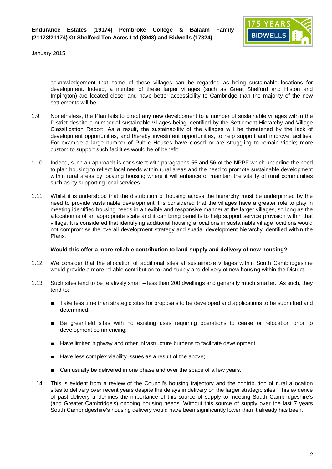

acknowledgement that some of these villages can be regarded as being sustainable locations for development. Indeed, a number of these larger villages (such as Great Shelford and Histon and Impington) are located closer and have better accessibility to Cambridge than the majority of the new settlements will be.

- 1.9 Nonetheless, the Plan fails to direct any new development to a number of sustainable villages within the District despite a number of sustainable villages being identified by the Settlement Hierarchy and Village Classification Report. As a result, the sustainability of the villages will be threatened by the lack of development opportunities, and thereby investment opportunities, to help support and improve facilities. For example a large number of Public Houses have closed or are struggling to remain viable; more custom to support such facilities would be of benefit.
- 1.10 Indeed, such an approach is consistent with paragraphs 55 and 56 of the NPPF which underline the need to plan housing to reflect local needs within rural areas and the need to promote sustainable development within rural areas by locating housing where it will enhance or maintain the vitality of rural communities such as by supporting local services.
- 1.11 Whilst it is understood that the distribution of housing across the hierarchy must be underpinned by the need to provide sustainable development it is considered that the villages have a greater role to play in meeting identified housing needs in a flexible and responsive manner at the larger villages, so long as the allocation is of an appropriate scale and it can bring benefits to help support service provision within that village. It is considered that identifying additional housing allocations in sustainable village locations would not compromise the overall development strategy and spatial development hierarchy identified within the Plans.

#### **Would this offer a more reliable contribution to land supply and delivery of new housing?**

- 1.12 We consider that the allocation of additional sites at sustainable villages within South Cambridgeshire would provide a more reliable contribution to land supply and delivery of new housing within the District.
- 1.13 Such sites tend to be relatively small less than 200 dwellings and generally much smaller. As such, they tend to:
	- **Take less time than strategic sites for proposals to be developed and applications to be submitted and** determined;
	- **Be greenfield sites with no existing uses requiring operations to cease or relocation prior to** development commencing;
	- Have limited highway and other infrastructure burdens to facilitate development;
	- $\blacksquare$  Have less complex viability issues as a result of the above;
	- $\Box$  Can usually be delivered in one phase and over the space of a few years.
- 1.14 This is evident from a review of the Council's housing trajectory and the contribution of rural allocation sites to delivery over recent years despite the delays in delivery on the larger strategic sites. This evidence of past delivery underlines the importance of this source of supply to meeting South Cambridgeshire's (and Greater Cambridge's) ongoing housing needs. Without this source of supply over the last 7 years South Cambridgeshire's housing delivery would have been significantly lower than it already has been.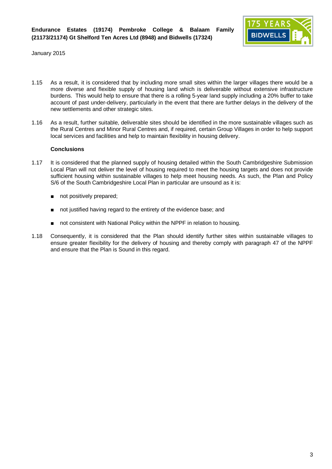

- 1.15 As a result, it is considered that by including more small sites within the larger villages there would be a more diverse and flexible supply of housing land which is deliverable without extensive infrastructure burdens. This would help to ensure that there is a rolling 5-year land supply including a 20% buffer to take account of past under-delivery, particularly in the event that there are further delays in the delivery of the new settlements and other strategic sites.
- 1.16 As a result, further suitable, deliverable sites should be identified in the more sustainable villages such as the Rural Centres and Minor Rural Centres and, if required, certain Group Villages in order to help support local services and facilities and help to maintain flexibility in housing delivery.

### **Conclusions**

- 1.17 It is considered that the planned supply of housing detailed within the South Cambridgeshire Submission Local Plan will not deliver the level of housing required to meet the housing targets and does not provide sufficient housing within sustainable villages to help meet housing needs. As such, the Plan and Policy S/6 of the South Cambridgeshire Local Plan in particular are unsound as it is:
	- $\blacksquare$  not positively prepared;
	- not justified having regard to the entirety of the evidence base; and
	- not consistent with National Policy within the NPPF in relation to housing.
- 1.18 Consequently, it is considered that the Plan should identify further sites within sustainable villages to ensure greater flexibility for the delivery of housing and thereby comply with paragraph 47 of the NPPF and ensure that the Plan is Sound in this regard.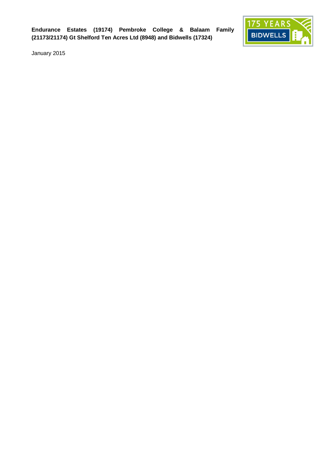